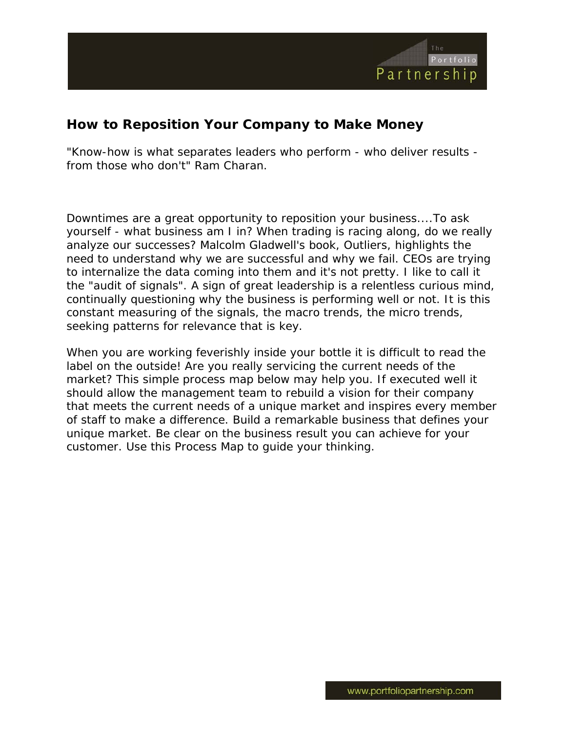

# **How to Reposition Your Company to Make Money**

"Know-how is what separates leaders who perform - who deliver results from those who don't" Ram Charan.

Downtimes are a great opportunity to reposition your business....To ask yourself - what business am I in? When trading is racing along, do we really analyze our successes? Malcolm Gladwell's book, Outliers, highlights the need to understand why we are successful and why we fail. CEOs are trying to internalize the data coming into them and it's not pretty. I like to call it the "audit of signals". A sign of great leadership is a relentless curious mind, continually questioning why the business is performing well or not. It is this constant measuring of the signals, the macro trends, the micro trends, seeking patterns for relevance that is key.

When you are working feverishly inside your bottle it is difficult to read the label on the outside! Are you really servicing the current needs of the market? This simple process map below may help you. If executed well it should allow the management team to rebuild a vision for their company that meets the current needs of a unique market and inspires every member of staff to make a difference. Build a remarkable business that defines your unique market. Be clear on the business result you can achieve for your customer. Use this Process Map to guide your thinking.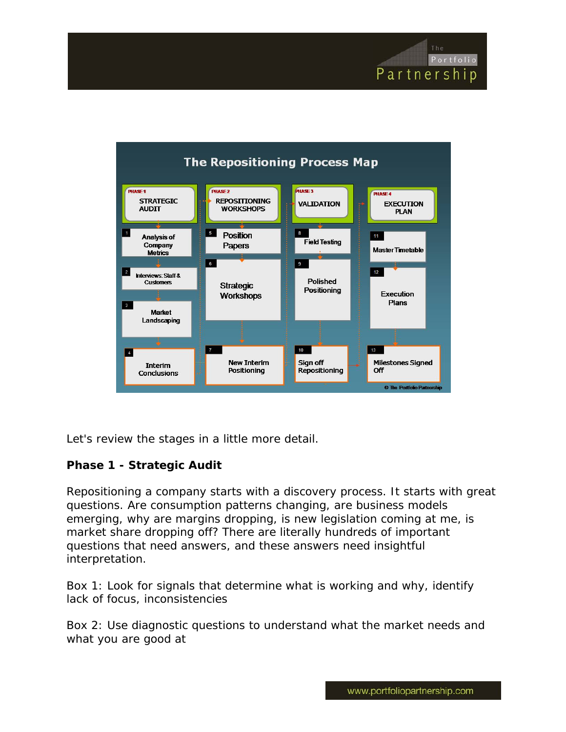



Let's review the stages in a little more detail.

# **Phase 1 - Strategic Audit**

Repositioning a company starts with a discovery process. It starts with great questions. Are consumption patterns changing, are business models emerging, why are margins dropping, is new legislation coming at me, is market share dropping off? There are literally hundreds of important questions that need answers, and these answers need insightful interpretation.

Box 1: Look for signals that determine what is working and why, identify lack of focus, inconsistencies

Box 2: Use diagnostic questions to understand what the market needs and what you are good at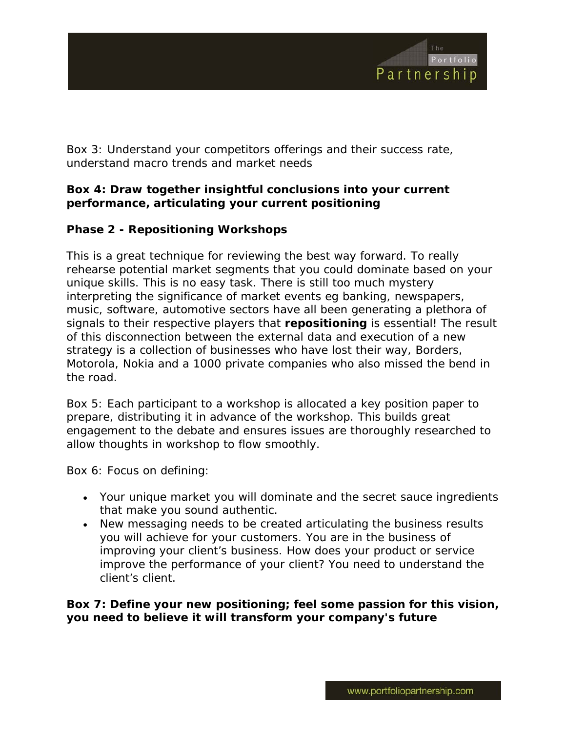

Box 3: Understand your competitors offerings and their success rate, understand macro trends and market needs

## **Box 4: Draw together insightful conclusions into your current performance, articulating your current positioning**

## **Phase 2 - Repositioning Workshops**

This is a great technique for reviewing the best way forward. To really rehearse potential market segments that you could dominate based on your unique skills. This is no easy task. There is still too much mystery interpreting the significance of market events eg banking, newspapers, music, software, automotive sectors have all been generating a plethora of signals to their respective players that **repositioning** is essential! The result of this disconnection between the external data and execution of a new strategy is a collection of businesses who have lost their way, Borders, Motorola, Nokia and a 1000 private companies who also missed the bend in the road.

Box 5: Each participant to a workshop is allocated a key position paper to prepare, distributing it in advance of the workshop. This builds great engagement to the debate and ensures issues are thoroughly researched to allow thoughts in workshop to flow smoothly.

Box 6: Focus on defining:

- Your unique market you will dominate and the secret sauce ingredients that make you sound authentic.
- New messaging needs to be created articulating the business results you will achieve for your customers. You are in the business of improving your client's business. How does your product or service improve the performance of your client? You need to understand the client's client.

**Box 7: Define your new positioning; feel some passion for this vision, you need to believe it will transform your company's future**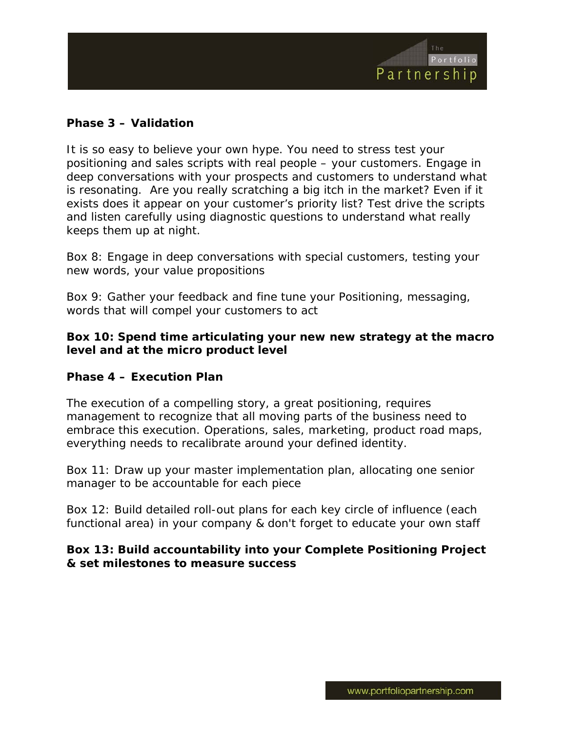

### **Phase 3 – Validation**

It is so easy to believe your own hype. You need to stress test your positioning and sales scripts with real people – your customers. Engage in deep conversations with your prospects and customers to understand what is resonating. Are you really scratching a big itch in the market? Even if it exists does it appear on your customer's priority list? Test drive the scripts and listen carefully using diagnostic questions to understand what really keeps them up at night.

Box 8: Engage in deep conversations with special customers, testing your new words, your value propositions

Box 9: Gather your feedback and fine tune your Positioning, messaging, words that will compel your customers to act

#### **Box 10: Spend time articulating your new new strategy at the macro level and at the micro product level**

#### **Phase 4 – Execution Plan**

The execution of a compelling story, a great positioning, requires management to recognize that all moving parts of the business need to embrace this execution. Operations, sales, marketing, product road maps, everything needs to recalibrate around your defined identity.

Box 11: Draw up your master implementation plan, allocating one senior manager to be accountable for each piece

Box 12: Build detailed roll-out plans for each key circle of influence (each functional area) in your company & don't forget to educate your own staff

#### **Box 13: Build accountability into your Complete Positioning Project & set milestones to measure success**